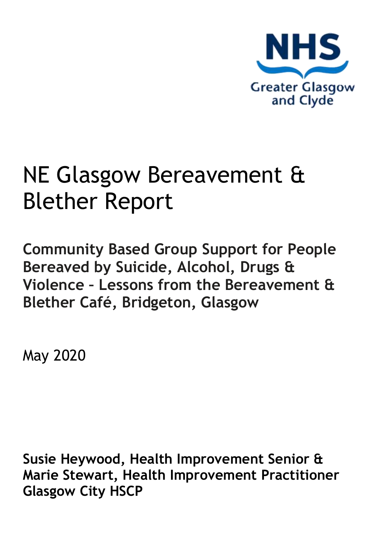

# NE Glasgow Bereavement & Blether Report

**Community Based Group Support for People Bereaved by Suicide, Alcohol, Drugs & Violence – Lessons from the Bereavement & Blether Café, Bridgeton, Glasgow**

May 2020

**Susie Heywood, Health Improvement Senior & Marie Stewart, Health Improvement Practitioner Glasgow City HSCP**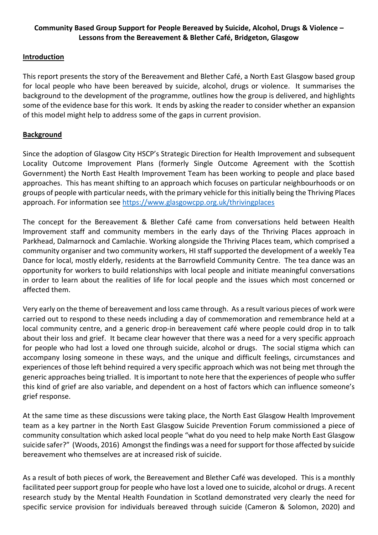#### **Community Based Group Support for People Bereaved by Suicide, Alcohol, Drugs & Violence – Lessons from the Bereavement & Blether Café, Bridgeton, Glasgow**

#### **Introduction**

This report presents the story of the Bereavement and Blether Café, a North East Glasgow based group for local people who have been bereaved by suicide, alcohol, drugs or violence. It summarises the background to the development of the programme, outlines how the group is delivered, and highlights some of the evidence base for this work. It ends by asking the reader to consider whether an expansion of this model might help to address some of the gaps in current provision.

#### **Background**

Since the adoption of Glasgow City HSCP's Strategic Direction for Health Improvement and subsequent Locality Outcome Improvement Plans (formerly Single Outcome Agreement with the Scottish Government) the North East Health Improvement Team has been working to people and place based approaches. This has meant shifting to an approach which focuses on particular neighbourhoods or on groups of people with particular needs, with the primary vehicle for this initially being the Thriving Places approach. For information see <https://www.glasgowcpp.org.uk/thrivingplaces>

The concept for the Bereavement & Blether Café came from conversations held between Health Improvement staff and community members in the early days of the Thriving Places approach in Parkhead, Dalmarnock and Camlachie. Working alongside the Thriving Places team, which comprised a community organiser and two community workers, HI staff supported the development of a weekly Tea Dance for local, mostly elderly, residents at the Barrowfield Community Centre. The tea dance was an opportunity for workers to build relationships with local people and initiate meaningful conversations in order to learn about the realities of life for local people and the issues which most concerned or affected them.

Very early on the theme of bereavement and loss came through. As a result various pieces of work were carried out to respond to these needs including a day of commemoration and remembrance held at a local community centre, and a generic drop-in bereavement café where people could drop in to talk about their loss and grief. It became clear however that there was a need for a very specific approach for people who had lost a loved one through suicide, alcohol or drugs. The social stigma which can accompany losing someone in these ways, and the unique and difficult feelings, circumstances and experiences of those left behind required a very specific approach which was not being met through the generic approaches being trialled. It is important to note here that the experiences of people who suffer this kind of grief are also variable, and dependent on a host of factors which can influence someone's grief response.

At the same time as these discussions were taking place, the North East Glasgow Health Improvement team as a key partner in the North East Glasgow Suicide Prevention Forum commissioned a piece of community consultation which asked local people "what do you need to help make North East Glasgow suicide safer?" (Woods, 2016) Amongst the findings was a need for support for those affected by suicide bereavement who themselves are at increased risk of suicide.

As a result of both pieces of work, the Bereavement and Blether Café was developed. This is a monthly facilitated peer support group for people who have lost a loved one to suicide, alcohol or drugs. A recent research study by the Mental Health Foundation in Scotland demonstrated very clearly the need for specific service provision for individuals bereaved through suicide (Cameron & Solomon, 2020) and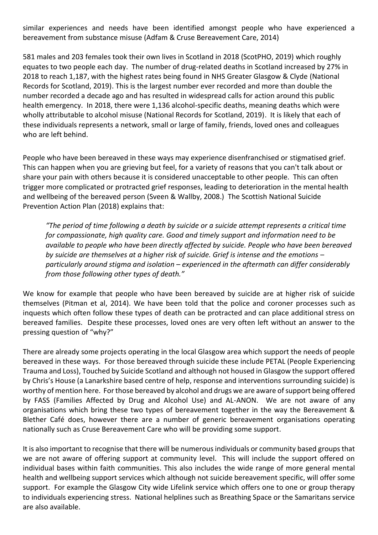similar experiences and needs have been identified amongst people who have experienced a bereavement from substance misuse (Adfam & Cruse Bereavement Care, 2014)

581 males and 203 females took their own lives in Scotland in 2018 (ScotPHO, 2019) which roughly equates to two people each day. The number of drug-related deaths in Scotland increased by 27% in 2018 to reach 1,187, with the highest rates being found in NHS Greater Glasgow & Clyde (National Records for Scotland, 2019). This is the largest number ever recorded and more than double the number recorded a decade ago and has resulted in widespread calls for action around this public health emergency. In 2018, there were 1,136 alcohol-specific deaths, meaning deaths which were wholly attributable to alcohol misuse (National Records for Scotland, 2019). It is likely that each of these individuals represents a network, small or large of family, friends, loved ones and colleagues who are left behind.

People who have been bereaved in these ways may experience disenfranchised or stigmatised grief. This can happen when you are grieving but feel, for a variety of reasons that you can't talk about or share your pain with others because it is considered unacceptable to other people. This can often trigger more complicated or protracted grief responses, leading to deterioration in the mental health and wellbeing of the bereaved person (Sveen & Wallby, 2008.) The Scottish National Suicide Prevention Action Plan (2018) explains that:

*"The period of time following a death by suicide or a suicide attempt represents a critical time for compassionate, high quality care. Good and timely support and information need to be available to people who have been directly affected by suicide. People who have been bereaved by suicide are themselves at a higher risk of suicide. Grief is intense and the emotions – particularly around stigma and isolation – experienced in the aftermath can differ considerably from those following other types of death."*

We know for example that people who have been bereaved by suicide are at higher risk of suicide themselves (Pitman et al, 2014). We have been told that the police and coroner processes such as inquests which often follow these types of death can be protracted and can place additional stress on bereaved families. Despite these processes, loved ones are very often left without an answer to the pressing question of "why?"

There are already some projects operating in the local Glasgow area which support the needs of people bereaved in these ways. For those bereaved through suicide these include PETAL (People Experiencing Trauma and Loss), Touched by Suicide Scotland and although not housed in Glasgow the support offered by Chris's House (a Lanarkshire based centre of help, response and interventions surrounding suicide) is worthy of mention here. For those bereaved by alcohol and drugs we are aware of support being offered by FASS (Families Affected by Drug and Alcohol Use) and AL-ANON. We are not aware of any organisations which bring these two types of bereavement together in the way the Bereavement & Blether Café does, however there are a number of generic bereavement organisations operating nationally such as Cruse Bereavement Care who will be providing some support.

It is also important to recognise that there will be numerous individuals or community based groups that we are not aware of offering support at community level. This will include the support offered on individual bases within faith communities. This also includes the wide range of more general mental health and wellbeing support services which although not suicide bereavement specific, will offer some support. For example the Glasgow City wide Lifelink service which offers one to one or group therapy to individuals experiencing stress. National helplines such as Breathing Space or the Samaritans service are also available.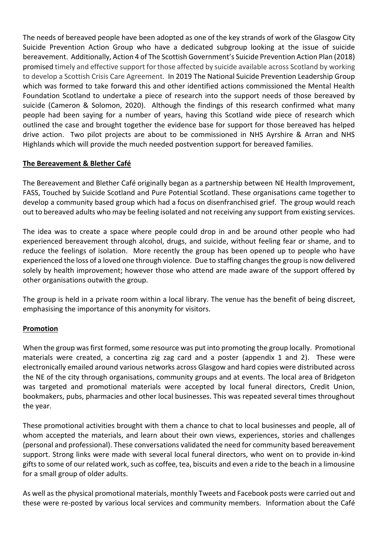The needs of bereaved people have been adopted as one of the key strands of work of the Glasgow City Suicide Prevention Action Group who have a dedicated subgroup looking at the issue of suicide bereavement. Additionally, Action 4 of The Scottish Government's Suicide Prevention Action Plan (2018) promised timely and effective support for those affected by suicide available across Scotland by working to develop a Scottish Crisis Care Agreement. In 2019 The National Suicide Prevention Leadership Group which was formed to take forward this and other identified actions commissioned the Mental Health Foundation Scotland to undertake a piece of research into the support needs of those bereaved by suicide (Cameron & Solomon, 2020). Although the findings of this research confirmed what many people had been saying for a number of years, having this Scotland wide piece of research which outlined the case and brought together the evidence base for support for those bereaved has helped drive action. Two pilot projects are about to be commissioned in NHS Ayrshire & Arran and NHS Highlands which will provide the much needed postvention support for bereaved families.

#### **The Bereavement & Blether Café**

The Bereavement and Blether Café originally began as a partnership between NE Health Improvement, FASS, Touched by Suicide Scotland and Pure Potential Scotland. These organisations came together to develop a community based group which had a focus on disenfranchised grief. The group would reach out to bereaved adults who may be feeling isolated and not receiving any support from existing services.

The idea was to create a space where people could drop in and be around other people who had experienced bereavement through alcohol, drugs, and suicide, without feeling fear or shame, and to reduce the feelings of isolation. More recently the group has been opened up to people who have experienced the loss of a loved one through violence. Due to staffing changes the group is now delivered solely by health improvement; however those who attend are made aware of the support offered by other organisations outwith the group.

The group is held in a private room within a local library. The venue has the benefit of being discreet, emphasising the importance of this anonymity for visitors.

#### **Promotion**

When the group was first formed, some resource was put into promoting the group locally. Promotional materials were created, a concertina zig zag card and a poster (appendix 1 and 2). These were electronically emailed around various networks across Glasgow and hard copies were distributed across the NE of the city through organisations, community groups and at events. The local area of Bridgeton was targeted and promotional materials were accepted by local funeral directors, Credit Union, bookmakers, pubs, pharmacies and other local businesses. This was repeated several times throughout the year.

These promotional activities brought with them a chance to chat to local businesses and people, all of whom accepted the materials, and learn about their own views, experiences, stories and challenges (personal and professional). These conversations validated the need for community based bereavement support. Strong links were made with several local funeral directors, who went on to provide in-kind gifts to some of our related work, such as coffee, tea, biscuits and even a ride to the beach in a limousine for a small group of older adults.

As well as the physical promotional materials, monthly Tweets and Facebook posts were carried out and these were re-posted by various local services and community members. Information about the Café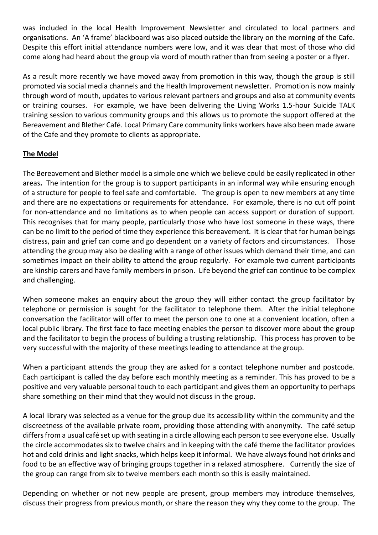was included in the local Health Improvement Newsletter and circulated to local partners and organisations. An 'A frame' blackboard was also placed outside the library on the morning of the Cafe. Despite this effort initial attendance numbers were low, and it was clear that most of those who did come along had heard about the group via word of mouth rather than from seeing a poster or a flyer.

As a result more recently we have moved away from promotion in this way, though the group is still promoted via social media channels and the Health Improvement newsletter. Promotion is now mainly through word of mouth, updates to various relevant partners and groups and also at community events or training courses. For example, we have been delivering the Living Works 1.5-hour Suicide TALK training session to various community groups and this allows us to promote the support offered at the Bereavement and Blether Café. Local Primary Care community links workers have also been made aware of the Cafe and they promote to clients as appropriate.

#### **The Model**

The Bereavement and Blether model is a simple one which we believe could be easily replicated in other areas**.** The intention for the group is to support participants in an informal way while ensuring enough of a structure for people to feel safe and comfortable. The group is open to new members at any time and there are no expectations or requirements for attendance. For example, there is no cut off point for non-attendance and no limitations as to when people can access support or duration of support. This recognises that for many people, particularly those who have lost someone in these ways, there can be no limit to the period of time they experience this bereavement. It is clear that for human beings distress, pain and grief can come and go dependent on a variety of factors and circumstances. Those attending the group may also be dealing with a range of other issues which demand their time, and can sometimes impact on their ability to attend the group regularly. For example two current participants are kinship carers and have family members in prison. Life beyond the grief can continue to be complex and challenging.

When someone makes an enquiry about the group they will either contact the group facilitator by telephone or permission is sought for the facilitator to telephone them. After the initial telephone conversation the facilitator will offer to meet the person one to one at a convenient location, often a local public library. The first face to face meeting enables the person to discover more about the group and the facilitator to begin the process of building a trusting relationship. This process has proven to be very successful with the majority of these meetings leading to attendance at the group.

When a participant attends the group they are asked for a contact telephone number and postcode. Each participant is called the day before each monthly meeting as a reminder. This has proved to be a positive and very valuable personal touch to each participant and gives them an opportunity to perhaps share something on their mind that they would not discuss in the group.

A local library was selected as a venue for the group due its accessibility within the community and the discreetness of the available private room, providing those attending with anonymity. The café setup differs from a usual café set up with seating in a circle allowing each person to see everyone else. Usually the circle accommodates six to twelve chairs and in keeping with the café theme the facilitator provides hot and cold drinks and light snacks, which helps keep it informal. We have always found hot drinks and food to be an effective way of bringing groups together in a relaxed atmosphere. Currently the size of the group can range from six to twelve members each month so this is easily maintained.

Depending on whether or not new people are present, group members may introduce themselves, discuss their progress from previous month, or share the reason they why they come to the group. The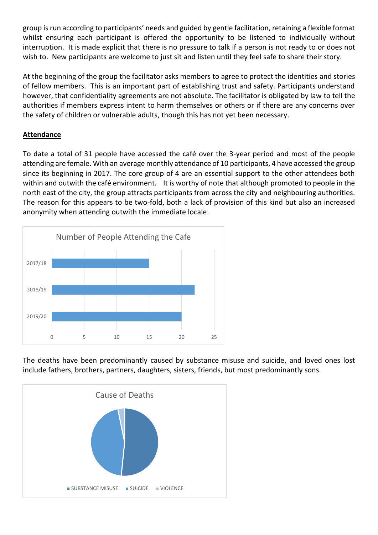group is run according to participants' needs and guided by gentle facilitation, retaining a flexible format whilst ensuring each participant is offered the opportunity to be listened to individually without interruption. It is made explicit that there is no pressure to talk if a person is not ready to or does not wish to. New participants are welcome to just sit and listen until they feel safe to share their story.

At the beginning of the group the facilitator asks members to agree to protect the identities and stories of fellow members. This is an important part of establishing trust and safety. Participants understand however, that confidentiality agreements are not absolute. The facilitator is obligated by law to tell the authorities if members express intent to harm themselves or others or if there are any concerns over the safety of children or vulnerable adults, though this has not yet been necessary.

#### **Attendance**

To date a total of 31 people have accessed the café over the 3-year period and most of the people attending are female. With an average monthly attendance of 10 participants, 4 have accessed the group since its beginning in 2017. The core group of 4 are an essential support to the other attendees both within and outwith the café environment. It is worthy of note that although promoted to people in the north east of the city, the group attracts participants from across the city and neighbouring authorities. The reason for this appears to be two-fold, both a lack of provision of this kind but also an increased anonymity when attending outwith the immediate locale.



The deaths have been predominantly caused by substance misuse and suicide, and loved ones lost include fathers, brothers, partners, daughters, sisters, friends, but most predominantly sons.

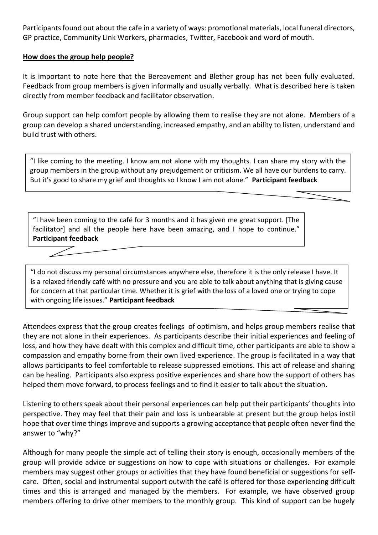Participants found out about the cafe in a variety of ways: promotional materials, local funeral directors, GP practice, Community Link Workers, pharmacies, Twitter, Facebook and word of mouth.

#### **How does the group help people?**

It is important to note here that the Bereavement and Blether group has not been fully evaluated. Feedback from group members is given informally and usually verbally. What is described here is taken directly from member feedback and facilitator observation.

Group support can help comfort people by allowing them to realise they are not alone. Members of a group can develop a shared understanding, increased empathy, and an ability to listen, understand and build trust with others.

"I like coming to the meeting. I know am not alone with my thoughts. I can share my story with the group members in the group without any prejudgement or criticism. We all have our burdens to carry. But it's good to share my grief and thoughts so I know I am not alone." **Participant feedback**

"I have been coming to the café for 3 months and it has given me great support. [The facilitator] and all the people here have been amazing, and I hope to continue." **Participant feedback**

"I do not discuss my personal circumstances anywhere else, therefore it is the only release I have. It is a relaxed friendly café with no pressure and you are able to talk about anything that is giving cause for concern at that particular time. Whether it is grief with the loss of a loved one or trying to cope with ongoing life issues." **Participant feedback**

Attendees express that the group creates feelings of optimism, and helps group members realise that they are not alone in their experiences. As participants describe their initial experiences and feeling of loss, and how they have dealt with this complex and difficult time, other participants are able to show a compassion and empathy borne from their own lived experience. The group is facilitated in a way that allows participants to feel comfortable to release suppressed emotions. This act of release and sharing can be healing. Participants also express positive experiences and share how the support of others has helped them move forward, to process feelings and to find it easier to talk about the situation.

Listening to others speak about their personal experiences can help put their participants' thoughts into perspective. They may feel that their pain and loss is unbearable at present but the group helps instil hope that over time things improve and supports a growing acceptance that people often never find the answer to "why?"

Although for many people the simple act of telling their story is enough, occasionally members of the group will provide advice or suggestions on how to cope with situations or challenges. For example members may suggest other groups or activities that they have found beneficial or suggestions for selfcare. Often, social and instrumental support outwith the café is offered for those experiencing difficult times and this is arranged and managed by the members. For example, we have observed group members offering to drive other members to the monthly group. This kind of support can be hugely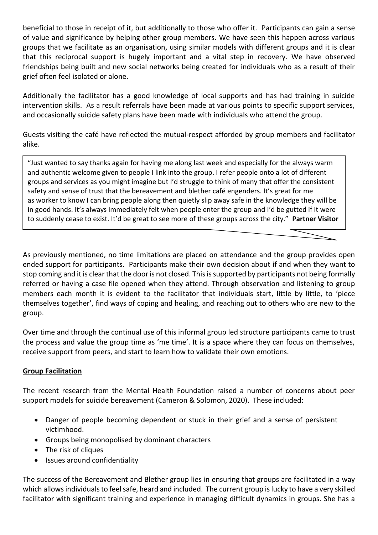beneficial to those in receipt of it, but additionally to those who offer it. Participants can gain a sense of value and significance by helping other group members. We have seen this happen across various groups that we facilitate as an organisation, using similar models with different groups and it is clear that this reciprocal support is hugely important and a vital step in recovery. We have observed friendships being built and new social networks being created for individuals who as a result of their grief often feel isolated or alone.

Additionally the facilitator has a good knowledge of local supports and has had training in suicide intervention skills. As a result referrals have been made at various points to specific support services, and occasionally suicide safety plans have been made with individuals who attend the group.

Guests visiting the café have reflected the mutual-respect afforded by group members and facilitator alike.

"Just wanted to say thanks again for having me along last week and especially for the always warm and authentic welcome given to people I link into the group. I refer people onto a lot of different groups and services as you might imagine but I'd struggle to think of many that offer the consistent safety and sense of trust that the bereavement and blether café engenders. It's great for me as worker to know I can bring people along then quietly slip away safe in the knowledge they will be in good hands. It's always immediately felt when people enter the group and I'd be gutted if it were to suddenly cease to exist. It'd be great to see more of these groups across the city." **Partner Visitor**

As previously mentioned, no time limitations are placed on attendance and the group provides open ended support for participants. Participants make their own decision about if and when they want to stop coming and it is clear that the door is not closed. This is supported by participants not being formally referred or having a case file opened when they attend. Through observation and listening to group members each month it is evident to the facilitator that individuals start, little by little, to 'piece themselves together', find ways of coping and healing, and reaching out to others who are new to the group.

Over time and through the continual use of this informal group led structure participants came to trust the process and value the group time as 'me time'. It is a space where they can focus on themselves, receive support from peers, and start to learn how to validate their own emotions.

#### **Group Facilitation**

The recent research from the Mental Health Foundation raised a number of concerns about peer support models for suicide bereavement (Cameron & Solomon, 2020). These included:

- Danger of people becoming dependent or stuck in their grief and a sense of persistent victimhood.
- Groups being monopolised by dominant characters
- The risk of cliques
- Issues around confidentiality

The success of the Bereavement and Blether group lies in ensuring that groups are facilitated in a way which allows individuals to feel safe, heard and included. The current group is lucky to have a very skilled facilitator with significant training and experience in managing difficult dynamics in groups. She has a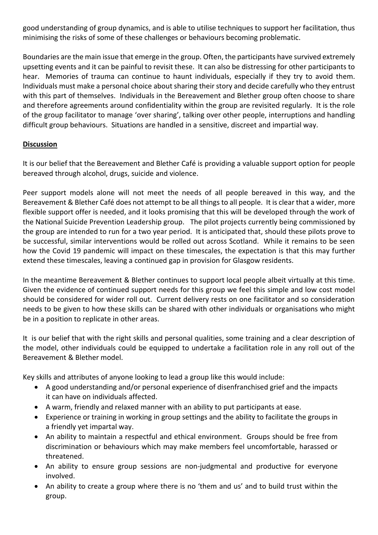good understanding of group dynamics, and is able to utilise techniques to support her facilitation, thus minimising the risks of some of these challenges or behaviours becoming problematic.

Boundaries are the main issue that emerge in the group. Often, the participants have survived extremely upsetting events and it can be painful to revisit these. It can also be distressing for other participants to hear. Memories of trauma can continue to haunt individuals, especially if they try to avoid them. Individuals must make a personal choice about sharing their story and decide carefully who they entrust with this part of themselves. Individuals in the Bereavement and Blether group often choose to share and therefore agreements around confidentiality within the group are revisited regularly. It is the role of the group facilitator to manage 'over sharing', talking over other people, interruptions and handling difficult group behaviours. Situations are handled in a sensitive, discreet and impartial way.

#### **Discussion**

It is our belief that the Bereavement and Blether Café is providing a valuable support option for people bereaved through alcohol, drugs, suicide and violence.

Peer support models alone will not meet the needs of all people bereaved in this way, and the Bereavement & Blether Café does not attempt to be all things to all people. It is clear that a wider, more flexible support offer is needed, and it looks promising that this will be developed through the work of the National Suicide Prevention Leadership group. The pilot projects currently being commissioned by the group are intended to run for a two year period. It is anticipated that, should these pilots prove to be successful, similar interventions would be rolled out across Scotland. While it remains to be seen how the Covid 19 pandemic will impact on these timescales, the expectation is that this may further extend these timescales, leaving a continued gap in provision for Glasgow residents.

In the meantime Bereavement & Blether continues to support local people albeit virtually at this time. Given the evidence of continued support needs for this group we feel this simple and low cost model should be considered for wider roll out. Current delivery rests on one facilitator and so consideration needs to be given to how these skills can be shared with other individuals or organisations who might be in a position to replicate in other areas.

It is our belief that with the right skills and personal qualities, some training and a clear description of the model, other individuals could be equipped to undertake a facilitation role in any roll out of the Bereavement & Blether model.

Key skills and attributes of anyone looking to lead a group like this would include:

- A good understanding and/or personal experience of disenfranchised grief and the impacts it can have on individuals affected.
- A warm, friendly and relaxed manner with an ability to put participants at ease.
- Experience or training in working in group settings and the ability to facilitate the groups in a friendly yet impartal way.
- An ability to maintain a respectful and ethical environment. Groups should be free from discrimination or behaviours which may make members feel uncomfortable, harassed or threatened.
- An ability to ensure group sessions are non-judgmental and productive for everyone involved.
- An ability to create a group where there is no 'them and us' and to build trust within the group.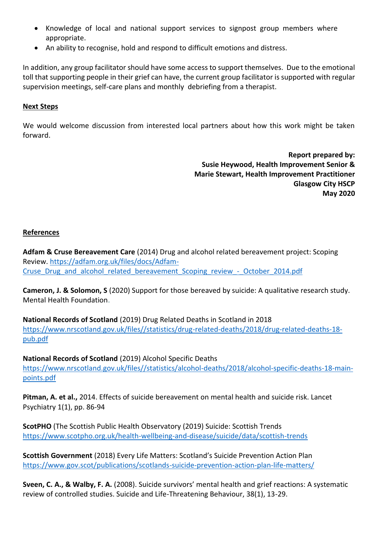- Knowledge of local and national support services to signpost group members where appropriate.
- An ability to recognise, hold and respond to difficult emotions and distress.

In addition, any group facilitator should have some access to support themselves. Due to the emotional toll that supporting people in their grief can have, the current group facilitator is supported with regular supervision meetings, self-care plans and monthly debriefing from a therapist.

#### **Next Steps**

We would welcome discussion from interested local partners about how this work might be taken forward.

> **Report prepared by: Susie Heywood, Health Improvement Senior & Marie Stewart, Health Improvement Practitioner Glasgow City HSCP May 2020**

#### **References**

**Adfam & Cruse Bereavement Care** (2014) Drug and alcohol related bereavement project: Scoping Review. [https://adfam.org.uk/files/docs/Adfam-](https://adfam.org.uk/files/docs/Adfam-Cruse_Drug_and_alcohol_related_bereavement_Scoping_review_-_October_2014.pdf)Cruse Drug and alcohol related bereavement Scoping review - October 2014.pdf

**Cameron, J. & Solomon, S** (2020) Support for those bereaved by suicide: A qualitative research study. Mental Health Foundation.

**National Records of Scotland** (2019) Drug Related Deaths in Scotland in 2018 [https://www.nrscotland.gov.uk/files//statistics/drug-related-deaths/2018/drug-related-deaths-18](https://www.nrscotland.gov.uk/files/statistics/drug-related-deaths/2018/drug-related-deaths-18-pub.pdf) [pub.pdf](https://www.nrscotland.gov.uk/files/statistics/drug-related-deaths/2018/drug-related-deaths-18-pub.pdf)

**National Records of Scotland** (2019) Alcohol Specific Deaths [https://www.nrscotland.gov.uk/files//statistics/alcohol-deaths/2018/alcohol-specific-deaths-18-main](https://www.nrscotland.gov.uk/files/statistics/alcohol-deaths/2018/alcohol-specific-deaths-18-main-points.pdf)[points.pdf](https://www.nrscotland.gov.uk/files/statistics/alcohol-deaths/2018/alcohol-specific-deaths-18-main-points.pdf)

**Pitman, A. et al.,** 2014. Effects of suicide bereavement on mental health and suicide risk. Lancet Psychiatry 1(1), pp. 86-94

**ScotPHO** (The Scottish Public Health Observatory (2019) Suicide: Scottish Trends <https://www.scotpho.org.uk/health-wellbeing-and-disease/suicide/data/scottish-trends>

**Scottish Government** (2018) Every Life Matters: Scotland's Suicide Prevention Action Plan <https://www.gov.scot/publications/scotlands-suicide-prevention-action-plan-life-matters/>

**Sveen, C. A., & Walby, F. A.** (2008). Suicide survivors' mental health and grief reactions: A systematic review of controlled studies. Suicide and Life-Threatening Behaviour, 38(1), 13-29.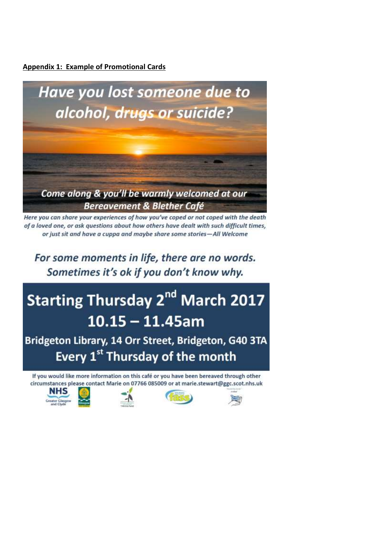**Appendix 1: Example of Promotional Cards**



Here you can share your experiences of how you've coped or not coped with the death of a loved one, or ask questions about how others have dealt with such difficult times, or just sit and have a cuppa and maybe share some stories-All Welcome

For some moments in life, there are no words. Sometimes it's ok if you don't know why.

## **Starting Thursday 2<sup>nd</sup> March 2017**  $10.15 - 11.45$ am

Bridgeton Library, 14 Orr Street, Bridgeton, G40 3TA Every 1<sup>st</sup> Thursday of the month

If you would like more information on this café or you have been bereaved through other circumstances please contact Marie on 07766 085009 or at marie.stewart@ggc.scot.nhs.uk